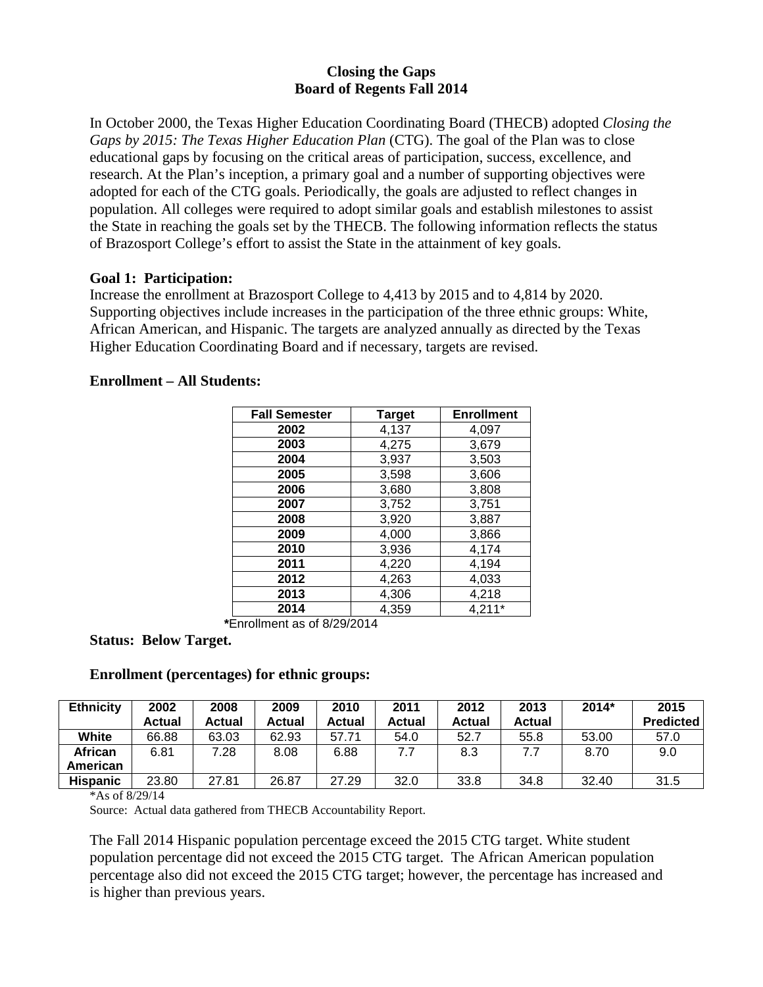### **Closing the Gaps Board of Regents Fall 2014**

In October 2000, the Texas Higher Education Coordinating Board (THECB) adopted *Closing the Gaps by 2015: The Texas Higher Education Plan* (CTG). The goal of the Plan was to close educational gaps by focusing on the critical areas of participation, success, excellence, and research. At the Plan's inception, a primary goal and a number of supporting objectives were adopted for each of the CTG goals. Periodically, the goals are adjusted to reflect changes in population. All colleges were required to adopt similar goals and establish milestones to assist the State in reaching the goals set by the THECB. The following information reflects the status of Brazosport College's effort to assist the State in the attainment of key goals.

### **Goal 1: Participation:**

Increase the enrollment at Brazosport College to 4,413 by 2015 and to 4,814 by 2020. Supporting objectives include increases in the participation of the three ethnic groups: White, African American, and Hispanic. The targets are analyzed annually as directed by the Texas Higher Education Coordinating Board and if necessary, targets are revised.

## **Enrollment – All Students:**

| <b>Fall Semester</b> | <b>Target</b> | <b>Enrollment</b> |
|----------------------|---------------|-------------------|
| 2002                 | 4,137         | 4,097             |
| 2003                 | 4,275         | 3,679             |
| 2004                 | 3,937         | 3,503             |
| 2005                 | 3,598         | 3,606             |
| 2006                 | 3,680         | 3,808             |
| 2007                 | 3,752         | 3,751             |
| 2008                 | 3,920         | 3,887             |
| 2009                 | 4,000         | 3,866             |
| 2010                 | 3,936         | 4,174             |
| 2011                 | 4,220         | 4,194             |
| 2012                 | 4,263         | 4,033             |
| 2013                 | 4,306         | 4,218             |
| 2014                 | 4,359         | 4,211*            |

**\***Enrollment as of 8/29/2014

**Status: Below Target.**

## **Enrollment (percentages) for ethnic groups:**

| <b>Ethnicity</b> | 2002          | 2008          | 2009   | 2010          | 2011   | 2012   | 2013          | 2014* | 2015             |
|------------------|---------------|---------------|--------|---------------|--------|--------|---------------|-------|------------------|
|                  | <b>Actual</b> | <b>Actual</b> | Actual | <b>Actual</b> | Actual | Actual | <b>Actual</b> |       | <b>Predicted</b> |
| White            | 66.88         | 63.03         | 62.93  | 57.71         | 54.0   | 52.7   | 55.8          | 53.00 | 57.0             |
| African          | 6.81          | 7.28          | 8.08   | 6.88          | 7.7    | 8.3    | 7.7           | 8.70  | 9.0              |
| American         |               |               |        |               |        |        |               |       |                  |
| <b>Hispanic</b>  | 23.80         | 27.81         | 26.87  | 27.29         | 32.0   | 33.8   | 34.8          | 32.40 | 31.5             |

\*As of 8/29/14

Source: Actual data gathered from THECB Accountability Report.

The Fall 2014 Hispanic population percentage exceed the 2015 CTG target. White student population percentage did not exceed the 2015 CTG target. The African American population percentage also did not exceed the 2015 CTG target; however, the percentage has increased and is higher than previous years.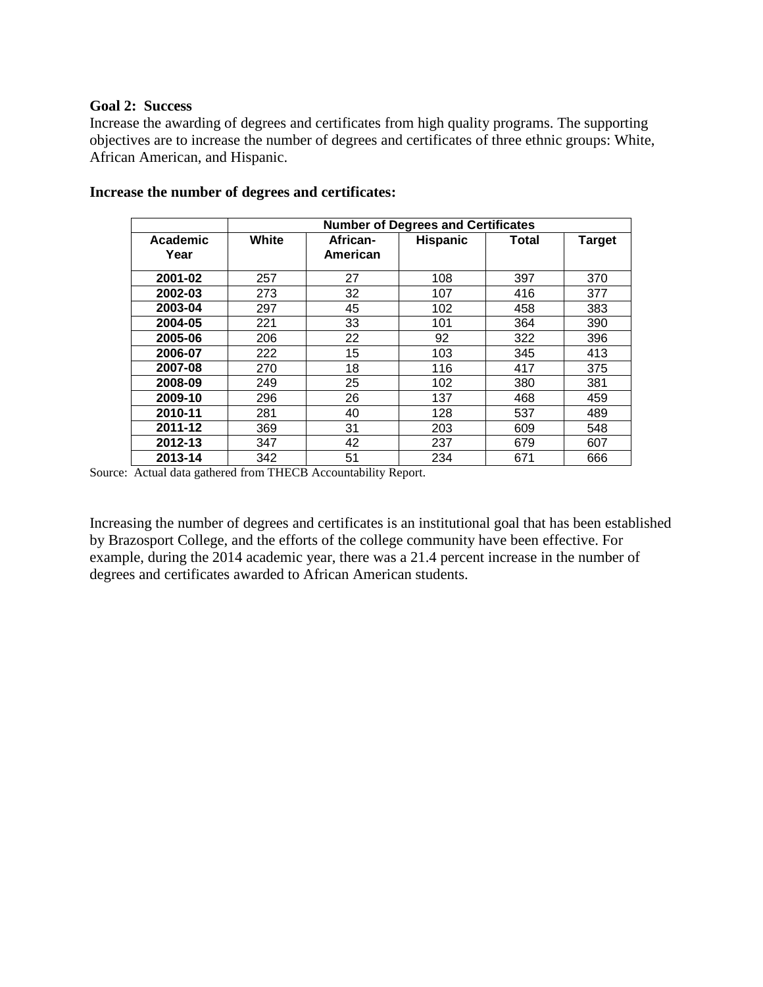#### **Goal 2: Success**

Increase the awarding of degrees and certificates from high quality programs. The supporting objectives are to increase the number of degrees and certificates of three ethnic groups: White, African American, and Hispanic.

|                  |       | <b>Number of Degrees and Certificates</b> |                 |       |               |  |  |  |
|------------------|-------|-------------------------------------------|-----------------|-------|---------------|--|--|--|
| Academic<br>Year | White | African-<br>American                      | <b>Hispanic</b> | Total | <b>Target</b> |  |  |  |
| 2001-02          | 257   | 27                                        | 108             | 397   | 370           |  |  |  |
| 2002-03          | 273   | 32                                        | 107             | 416   | 377           |  |  |  |
| 2003-04          | 297   | 45                                        | 102             | 458   | 383           |  |  |  |
| 2004-05          | 221   | 33                                        | 101             | 364   | 390           |  |  |  |
| 2005-06          | 206   | 22                                        | 92              | 322   | 396           |  |  |  |
| 2006-07          | 222   | 15                                        | 103             | 345   | 413           |  |  |  |
| 2007-08          | 270   | 18                                        | 116             | 417   | 375           |  |  |  |
| 2008-09          | 249   | 25                                        | 102             | 380   | 381           |  |  |  |
| 2009-10          | 296   | 26                                        | 137             | 468   | 459           |  |  |  |
| 2010-11          | 281   | 40                                        | 128             | 537   | 489           |  |  |  |
| 2011-12          | 369   | 31                                        | 203             | 609   | 548           |  |  |  |
| 2012-13          | 347   | 42                                        | 237             | 679   | 607           |  |  |  |
| 2013-14          | 342   | 51                                        | 234             | 671   | 666           |  |  |  |

#### **Increase the number of degrees and certificates:**

Source: Actual data gathered from THECB Accountability Report.

Increasing the number of degrees and certificates is an institutional goal that has been established by Brazosport College, and the efforts of the college community have been effective. For example, during the 2014 academic year, there was a 21.4 percent increase in the number of degrees and certificates awarded to African American students.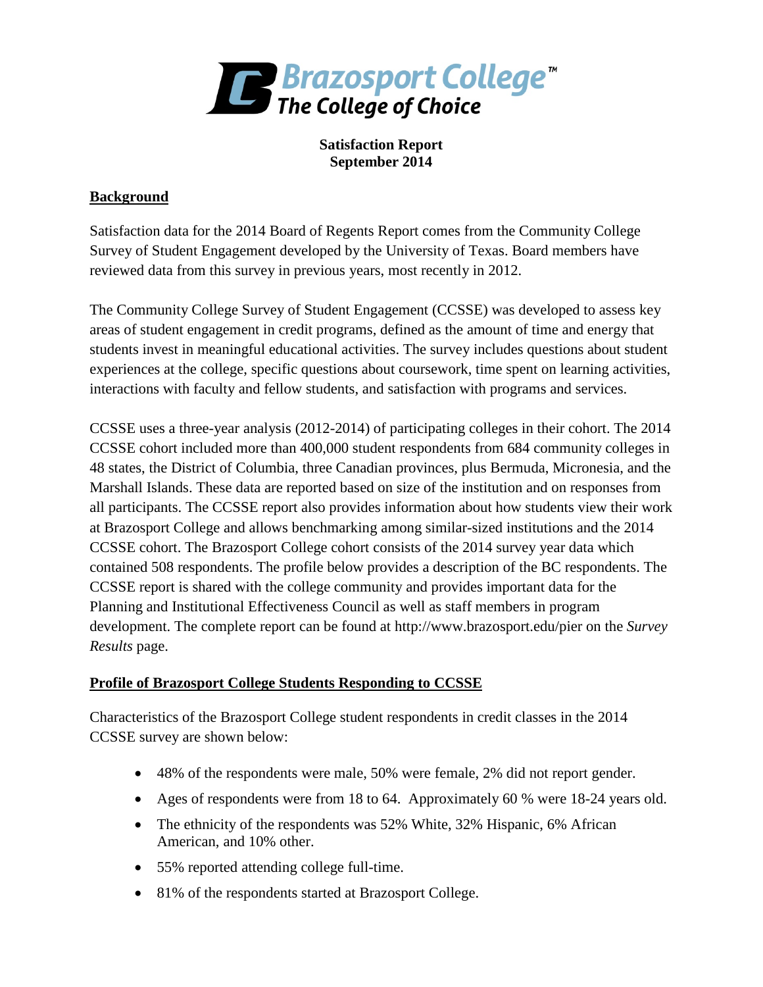

**Satisfaction Report September 2014**

# **Background**

Satisfaction data for the 2014 Board of Regents Report comes from the Community College Survey of Student Engagement developed by the University of Texas. Board members have reviewed data from this survey in previous years, most recently in 2012.

The Community College Survey of Student Engagement (CCSSE) was developed to assess key areas of student engagement in credit programs, defined as the amount of time and energy that students invest in meaningful educational activities. The survey includes questions about student experiences at the college, specific questions about coursework, time spent on learning activities, interactions with faculty and fellow students, and satisfaction with programs and services.

CCSSE uses a three-year analysis (2012-2014) of participating colleges in their cohort. The 2014 CCSSE cohort included more than 400,000 student respondents from 684 community colleges in 48 states, the District of Columbia, three Canadian provinces, plus Bermuda, Micronesia, and the Marshall Islands. These data are reported based on size of the institution and on responses from all participants. The CCSSE report also provides information about how students view their work at Brazosport College and allows benchmarking among similar-sized institutions and the 2014 CCSSE cohort. The Brazosport College cohort consists of the 2014 survey year data which contained 508 respondents. The profile below provides a description of the BC respondents. The CCSSE report is shared with the college community and provides important data for the Planning and Institutional Effectiveness Council as well as staff members in program development. The complete report can be found at http://www.brazosport.edu/pier on the *Survey Results* page.

## **Profile of Brazosport College Students Responding to CCSSE**

Characteristics of the Brazosport College student respondents in credit classes in the 2014 CCSSE survey are shown below:

- 48% of the respondents were male, 50% were female, 2% did not report gender.
- Ages of respondents were from 18 to 64. Approximately 60 % were 18-24 years old.
- The ethnicity of the respondents was 52% White, 32% Hispanic, 6% African American, and 10% other.
- 55% reported attending college full-time.
- 81% of the respondents started at Brazosport College.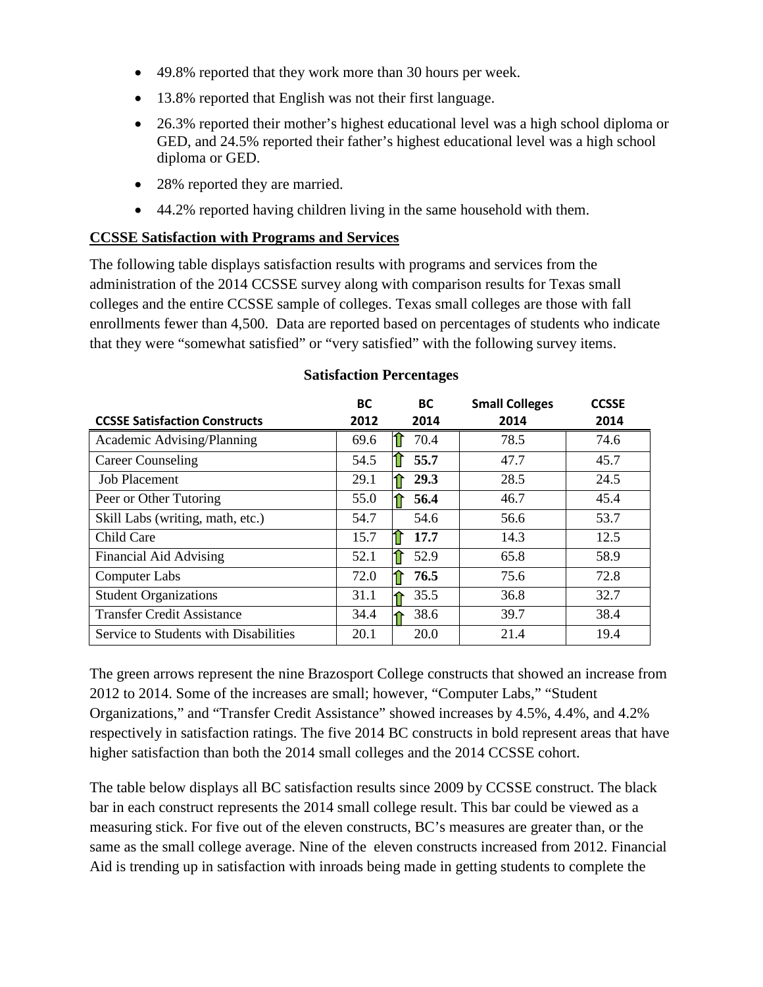- 49.8% reported that they work more than 30 hours per week.
- 13.8% reported that English was not their first language.
- 26.3% reported their mother's highest educational level was a high school diploma or GED, and 24.5% reported their father's highest educational level was a high school diploma or GED.
- 28% reported they are married.
- 44.2% reported having children living in the same household with them.

### **CCSSE Satisfaction with Programs and Services**

The following table displays satisfaction results with programs and services from the administration of the 2014 CCSSE survey along with comparison results for Texas small colleges and the entire CCSSE sample of colleges. Texas small colleges are those with fall enrollments fewer than 4,500. Data are reported based on percentages of students who indicate that they were "somewhat satisfied" or "very satisfied" with the following survey items.

| <b>CCSSE Satisfaction Constructs</b>  | ВC<br>2012 | BC.<br>2014 | <b>Small Colleges</b><br>2014 | <b>CCSSE</b><br>2014 |
|---------------------------------------|------------|-------------|-------------------------------|----------------------|
| Academic Advising/Planning            | 69.6       | 70.4        | 78.5                          | 74.6                 |
| <b>Career Counseling</b>              | 54.5       | 55.7        | 47.7                          | 45.7                 |
| <b>Job Placement</b>                  | 29.1       | 29.3        | 28.5                          | 24.5                 |
| Peer or Other Tutoring                | 55.0       | 56.4        | 46.7                          | 45.4                 |
| Skill Labs (writing, math, etc.)      | 54.7       | 54.6        | 56.6                          | 53.7                 |
| Child Care                            | 15.7       | 17.7<br>וו  | 14.3                          | 12.5                 |
| Financial Aid Advising                | 52.1       | 52.9        | 65.8                          | 58.9                 |
| <b>Computer Labs</b>                  | 72.0       | 76.5        | 75.6                          | 72.8                 |
| <b>Student Organizations</b>          | 31.1       | 35.5        | 36.8                          | 32.7                 |
| <b>Transfer Credit Assistance</b>     | 34.4       | 38.6        | 39.7                          | 38.4                 |
| Service to Students with Disabilities | 20.1       | 20.0        | 21.4                          | 19.4                 |

### **Satisfaction Percentages**

The green arrows represent the nine Brazosport College constructs that showed an increase from 2012 to 2014. Some of the increases are small; however, "Computer Labs," "Student Organizations," and "Transfer Credit Assistance" showed increases by 4.5%, 4.4%, and 4.2% respectively in satisfaction ratings. The five 2014 BC constructs in bold represent areas that have higher satisfaction than both the 2014 small colleges and the 2014 CCSSE cohort.

The table below displays all BC satisfaction results since 2009 by CCSSE construct. The black bar in each construct represents the 2014 small college result. This bar could be viewed as a measuring stick. For five out of the eleven constructs, BC's measures are greater than, or the same as the small college average. Nine of the eleven constructs increased from 2012. Financial Aid is trending up in satisfaction with inroads being made in getting students to complete the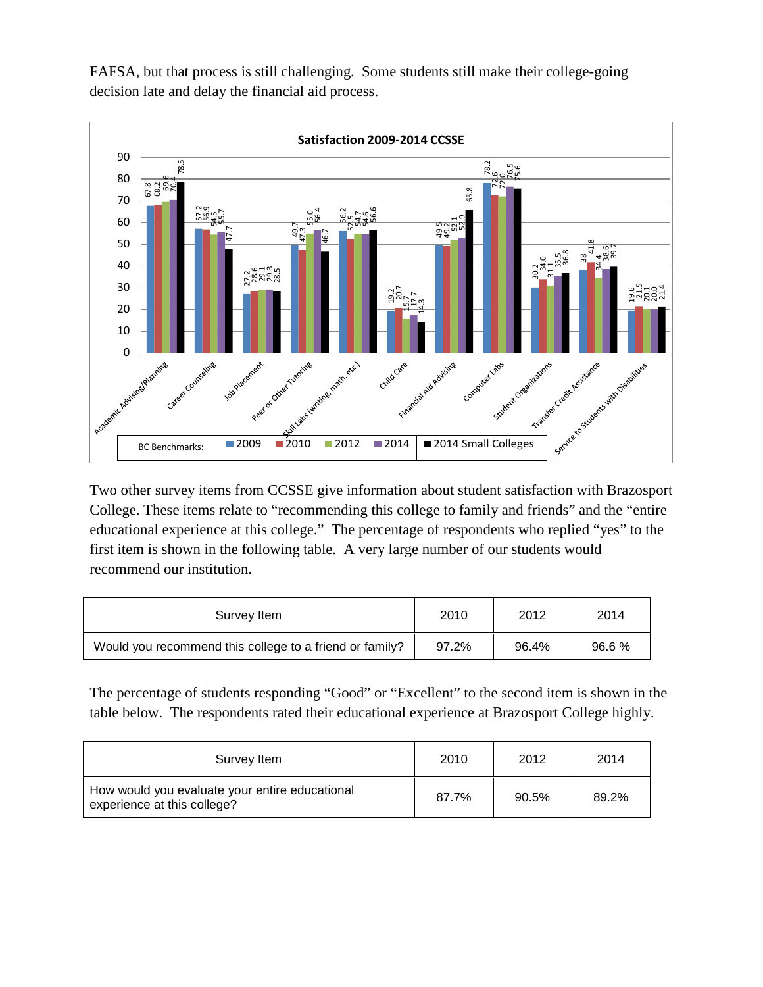FAFSA, but that process is still challenging. Some students still make their college-going decision late and delay the financial aid process.



Two other survey items from CCSSE give information about student satisfaction with Brazosport College. These items relate to "recommending this college to family and friends" and the "entire educational experience at this college." The percentage of respondents who replied "yes" to the first item is shown in the following table. A very large number of our students would recommend our institution.

| Survey Item                                             | 2010  | 2012  | 2014  |
|---------------------------------------------------------|-------|-------|-------|
| Would you recommend this college to a friend or family? | 97.2% | 96.4% | 96.6% |

The percentage of students responding "Good" or "Excellent" to the second item is shown in the table below. The respondents rated their educational experience at Brazosport College highly.

| Survey Item                                                                   | 2010  | 2012  | 2014  |
|-------------------------------------------------------------------------------|-------|-------|-------|
| How would you evaluate your entire educational<br>experience at this college? | 87.7% | 90.5% | 89.2% |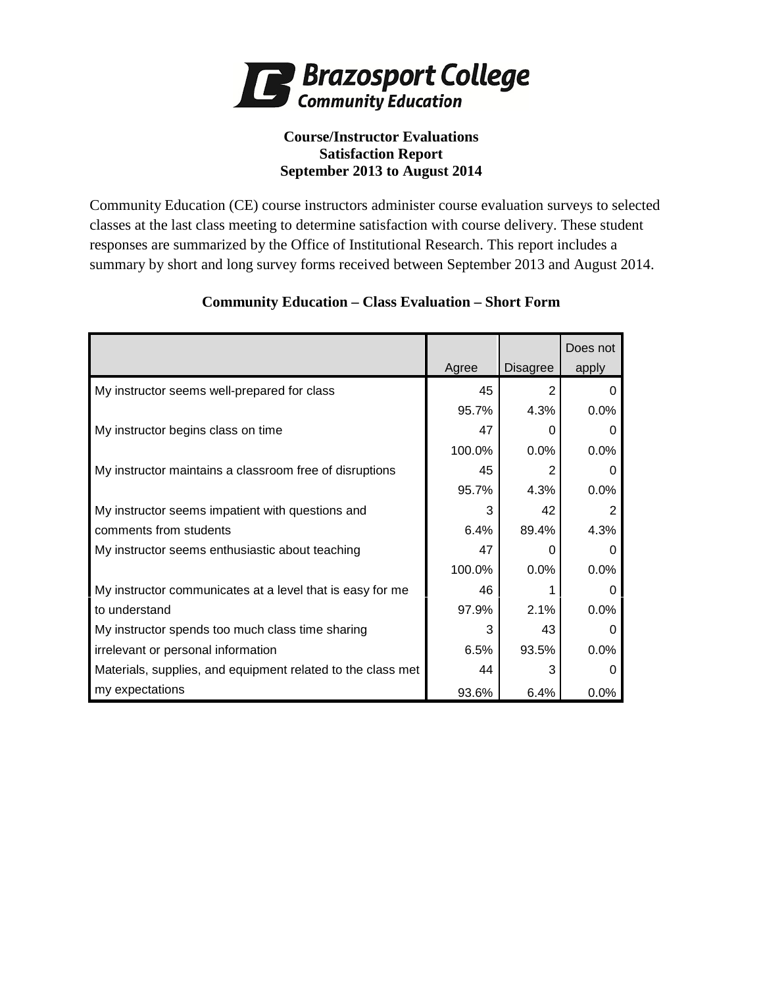

# **Course/Instructor Evaluations Satisfaction Report September 2013 to August 2014**

Community Education (CE) course instructors administer course evaluation surveys to selected classes at the last class meeting to determine satisfaction with course delivery. These student responses are summarized by the Office of Institutional Research. This report includes a summary by short and long survey forms received between September 2013 and August 2014.

|                                                             |        |                 | Does not     |
|-------------------------------------------------------------|--------|-----------------|--------------|
|                                                             | Agree  | <b>Disagree</b> | apply        |
| My instructor seems well-prepared for class                 | 45     | 2               | O            |
|                                                             | 95.7%  | 4.3%            | 0.0%         |
| My instructor begins class on time                          | 47     | 0               | $\Omega$     |
|                                                             | 100.0% | 0.0%            | 0.0%         |
| My instructor maintains a classroom free of disruptions     | 45     | 2               | O            |
|                                                             | 95.7%  | 4.3%            | 0.0%         |
| My instructor seems impatient with questions and            | 3      | 42              | 2            |
| comments from students                                      | 6.4%   | 89.4%           | 4.3%         |
| My instructor seems enthusiastic about teaching             | 47     | 0               | O            |
|                                                             | 100.0% | 0.0%            | 0.0%         |
| My instructor communicates at a level that is easy for me   | 46     |                 | O            |
| to understand                                               | 97.9%  | 2.1%            | 0.0%         |
| My instructor spends too much class time sharing            | 3      | 43              | $\Omega$     |
| irrelevant or personal information                          | 6.5%   | 93.5%           | 0.0%         |
| Materials, supplies, and equipment related to the class met | 44     | 3               | $\mathbf{0}$ |
| my expectations                                             | 93.6%  | 6.4%            | $0.0\%$      |

# **Community Education – Class Evaluation – Short Form**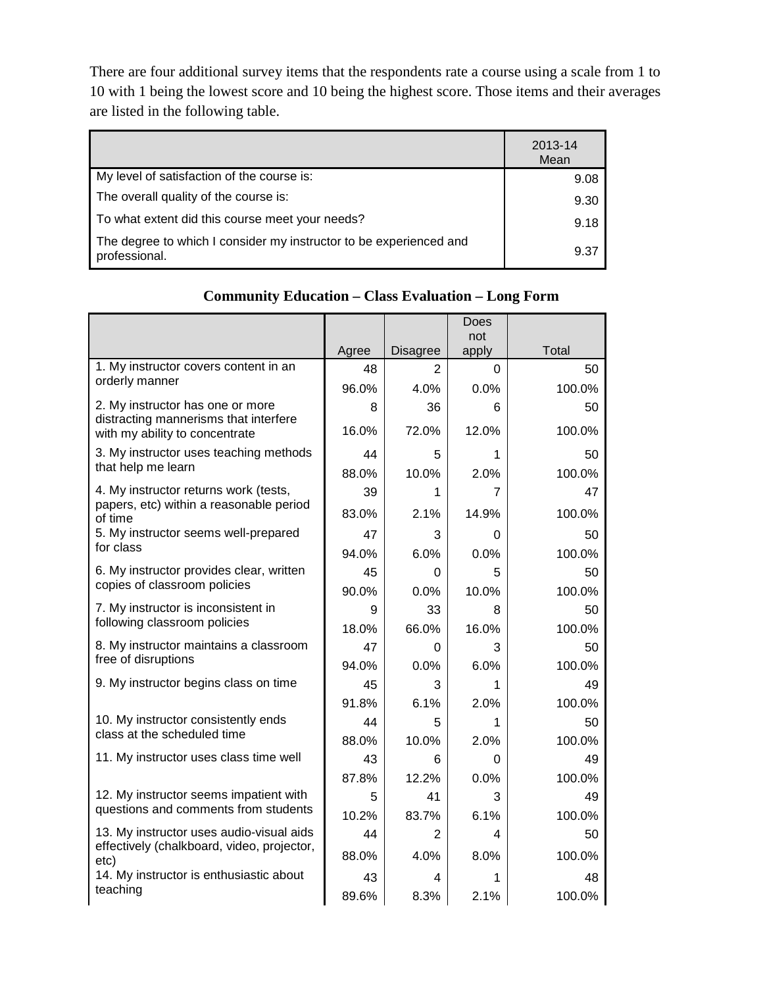There are four additional survey items that the respondents rate a course using a scale from 1 to 10 with 1 being the lowest score and 10 being the highest score. Those items and their averages are listed in the following table.

|                                                                                     | 2013-14<br>Mean |
|-------------------------------------------------------------------------------------|-----------------|
| My level of satisfaction of the course is:                                          | 9.08            |
| The overall quality of the course is:                                               | 9.30            |
| To what extent did this course meet your needs?                                     | 9.18            |
| The degree to which I consider my instructor to be experienced and<br>professional. | 9.37            |

|                                                                                        |       |                 | <b>Does</b>  |        |
|----------------------------------------------------------------------------------------|-------|-----------------|--------------|--------|
|                                                                                        | Agree | <b>Disagree</b> | not<br>apply | Total  |
| 1. My instructor covers content in an                                                  | 48    | 2               | 0            | 50     |
| orderly manner                                                                         | 96.0% | 4.0%            | 0.0%         | 100.0% |
| 2. My instructor has one or more                                                       | 8     | 36              | 6            | 50     |
| distracting mannerisms that interfere<br>with my ability to concentrate                | 16.0% | 72.0%           | 12.0%        | 100.0% |
| 3. My instructor uses teaching methods                                                 | 44    | 5               | 1            | 50     |
| that help me learn                                                                     | 88.0% | 10.0%           | 2.0%         | 100.0% |
| 4. My instructor returns work (tests,                                                  | 39    | 1               | 7            | 47     |
| papers, etc) within a reasonable period<br>of time                                     | 83.0% | 2.1%            | 14.9%        | 100.0% |
| 5. My instructor seems well-prepared                                                   | 47    | 3               | 0            | 50     |
| for class                                                                              | 94.0% | 6.0%            | 0.0%         | 100.0% |
| 6. My instructor provides clear, written                                               | 45    | 0               | 5            | 50     |
| copies of classroom policies                                                           | 90.0% | 0.0%            | 10.0%        | 100.0% |
| 7. My instructor is inconsistent in                                                    | 9     | 33              | 8            | 50     |
| following classroom policies                                                           | 18.0% | 66.0%           | 16.0%        | 100.0% |
| 8. My instructor maintains a classroom<br>free of disruptions                          | 47    | $\Omega$        | 3            | 50     |
|                                                                                        | 94.0% | 0.0%            | 6.0%         | 100.0% |
| 9. My instructor begins class on time                                                  | 45    | 3               | 1            | 49     |
|                                                                                        | 91.8% | 6.1%            | 2.0%         | 100.0% |
| 10. My instructor consistently ends<br>class at the scheduled time                     | 44    | 5               | 1            | 50     |
|                                                                                        | 88.0% | 10.0%           | 2.0%         | 100.0% |
| 11. My instructor uses class time well                                                 | 43    | 6               | 0            | 49     |
|                                                                                        | 87.8% | 12.2%           | 0.0%         | 100.0% |
| 12. My instructor seems impatient with<br>questions and comments from students         | 5     | 41              | 3            | 49     |
|                                                                                        | 10.2% | 83.7%           | 6.1%         | 100.0% |
| 13. My instructor uses audio-visual aids<br>effectively (chalkboard, video, projector, | 44    | $\overline{2}$  | 4            | 50     |
| etc)                                                                                   | 88.0% | 4.0%            | 8.0%         | 100.0% |
| 14. My instructor is enthusiastic about                                                | 43    | 4               | 1            | 48     |
| teaching                                                                               | 89.6% | 8.3%            | 2.1%         | 100.0% |

# **Community Education – Class Evaluation – Long Form**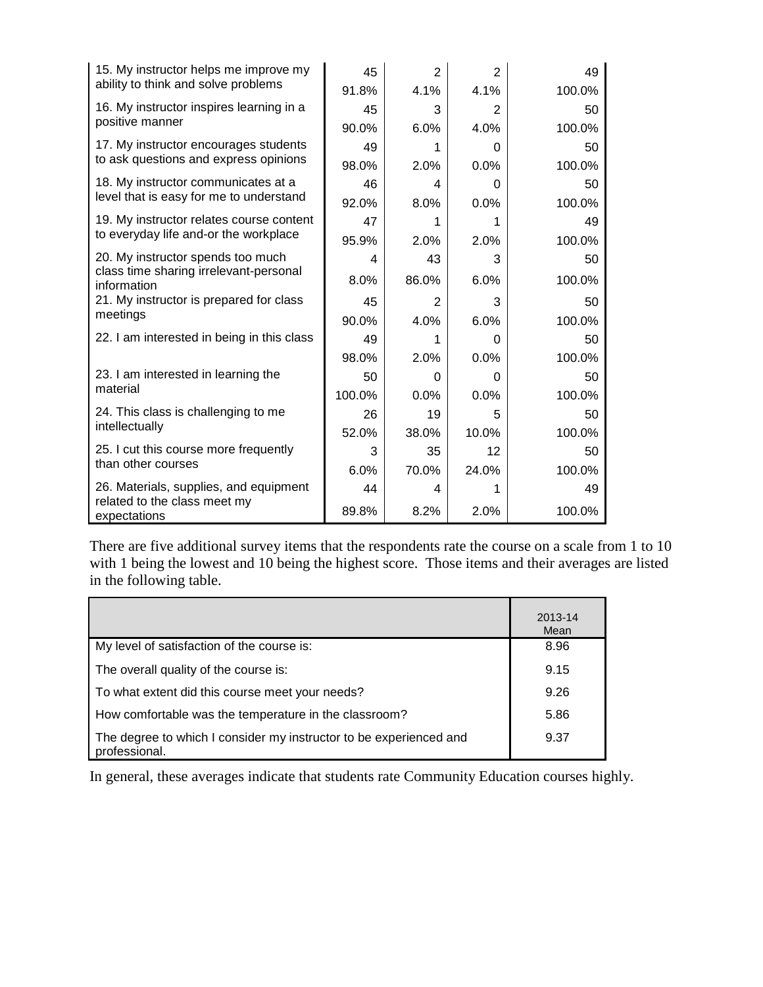| 15. My instructor helps me improve my<br>ability to think and solve problems | 45     | $\overline{2}$ | $\overline{2}$ | 49     |
|------------------------------------------------------------------------------|--------|----------------|----------------|--------|
|                                                                              | 91.8%  | 4.1%           | 4.1%           | 100.0% |
| 16. My instructor inspires learning in a                                     | 45     | 3              | 2              | 50     |
| positive manner                                                              | 90.0%  | 6.0%           | 4.0%           | 100.0% |
| 17. My instructor encourages students                                        | 49     | 1              | $\Omega$       | 50     |
| to ask questions and express opinions                                        | 98.0%  | 2.0%           | 0.0%           | 100.0% |
| 18. My instructor communicates at a                                          | 46     | 4              | 0              | 50     |
| level that is easy for me to understand                                      | 92.0%  | 8.0%           | 0.0%           | 100.0% |
| 19. My instructor relates course content                                     | 47     | 1              | 1              | 49     |
| to everyday life and-or the workplace                                        | 95.9%  | 2.0%           | 2.0%           | 100.0% |
| 20. My instructor spends too much                                            | 4      | 43             | 3              | 50     |
| class time sharing irrelevant-personal<br>information                        | 8.0%   | 86.0%          | 6.0%           | 100.0% |
| 21. My instructor is prepared for class                                      | 45     | $\overline{2}$ | 3              | 50     |
| meetings                                                                     | 90.0%  | 4.0%           | 6.0%           | 100.0% |
| 22. I am interested in being in this class                                   | 49     | 1              | 0              | 50     |
|                                                                              | 98.0%  | 2.0%           | 0.0%           | 100.0% |
| 23. I am interested in learning the                                          | 50     | $\Omega$       | 0              | 50     |
| material                                                                     | 100.0% | 0.0%           | 0.0%           | 100.0% |
| 24. This class is challenging to me                                          | 26     | 19             | 5              | 50     |
| intellectually                                                               | 52.0%  | 38.0%          | 10.0%          | 100.0% |
| 25. I cut this course more frequently                                        | 3      | 35             | 12             | 50     |
| than other courses                                                           | 6.0%   | 70.0%          | 24.0%          | 100.0% |
| 26. Materials, supplies, and equipment                                       | 44     | 4              |                | 49     |
| related to the class meet my<br>expectations                                 | 89.8%  | 8.2%           | 2.0%           | 100.0% |

There are five additional survey items that the respondents rate the course on a scale from 1 to 10 with 1 being the lowest and 10 being the highest score. Those items and their averages are listed in the following table.

|                                                                                     | 2013-14<br>Mean |
|-------------------------------------------------------------------------------------|-----------------|
| My level of satisfaction of the course is:                                          | 8.96            |
| The overall quality of the course is:                                               | 9.15            |
| To what extent did this course meet your needs?                                     | 9.26            |
| How comfortable was the temperature in the classroom?                               | 5.86            |
| The degree to which I consider my instructor to be experienced and<br>professional. | 9.37            |

In general, these averages indicate that students rate Community Education courses highly.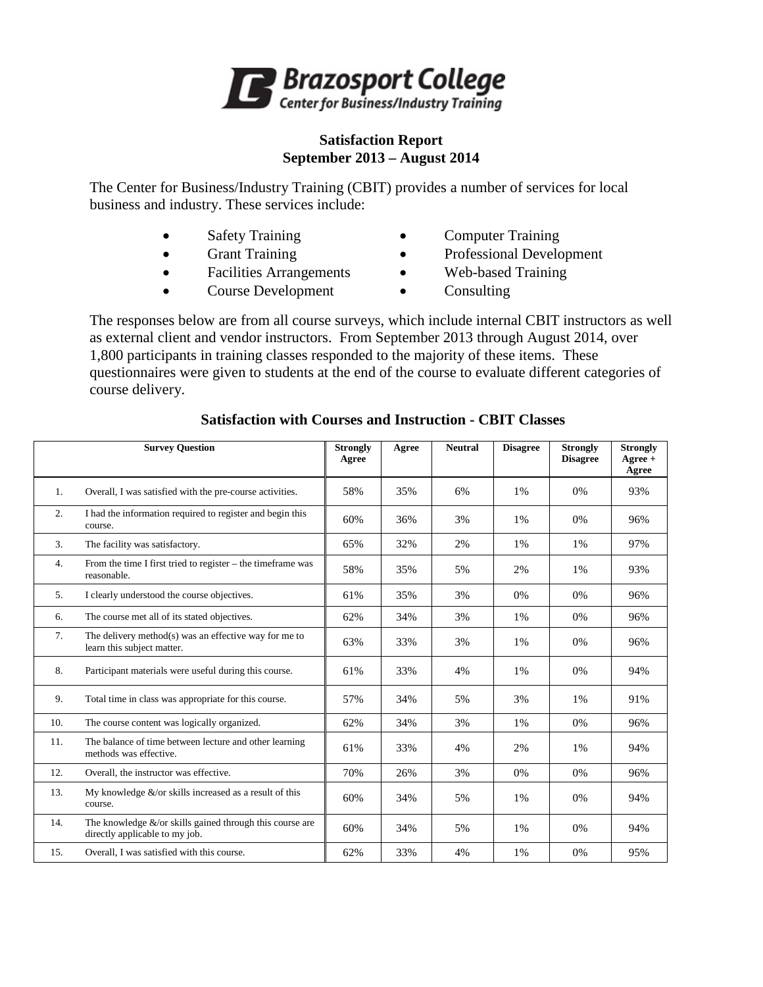

#### **Satisfaction Report September 2013 – August 2014**

The Center for Business/Industry Training (CBIT) provides a number of services for local business and industry. These services include:

- Safety Training Computer Training
- 
- 
- Grant Training Professional Development
- Facilities Arrangements Web-based Training
- Course Development Consulting
- -

The responses below are from all course surveys, which include internal CBIT instructors as well as external client and vendor instructors. From September 2013 through August 2014, over 1,800 participants in training classes responded to the majority of these items. These questionnaires were given to students at the end of the course to evaluate different categories of course delivery.

|     | <b>Survey Question</b>                                                                         | <b>Strongly</b><br>Agree | Agree | <b>Neutral</b> | <b>Disagree</b> | <b>Strongly</b><br><b>Disagree</b> | <b>Strongly</b><br>$A\text{gree} +$<br>Agree |
|-----|------------------------------------------------------------------------------------------------|--------------------------|-------|----------------|-----------------|------------------------------------|----------------------------------------------|
| 1.  | Overall, I was satisfied with the pre-course activities.                                       | 58%                      | 35%   | 6%             | 1%              | 0%                                 | 93%                                          |
| 2.  | I had the information required to register and begin this<br>course.                           | 60%                      | 36%   | 3%             | 1%              | 0%                                 | 96%                                          |
| 3.  | The facility was satisfactory.                                                                 | 65%                      | 32%   | 2%             | 1%              | 1%                                 | 97%                                          |
| 4.  | From the time I first tried to register - the timeframe was<br>reasonable.                     | 58%                      | 35%   | 5%             | 2%              | 1%                                 | 93%                                          |
| 5.  | I clearly understood the course objectives.                                                    | 61%                      | 35%   | 3%             | 0%              | 0%                                 | 96%                                          |
| 6.  | The course met all of its stated objectives.                                                   | 62%                      | 34%   | 3%             | 1%              | 0%                                 | 96%                                          |
| 7.  | The delivery method(s) was an effective way for me to<br>learn this subject matter.            | 63%                      | 33%   | 3%             | 1%              | 0%                                 | 96%                                          |
| 8.  | Participant materials were useful during this course.                                          | 61%                      | 33%   | 4%             | 1%              | 0%                                 | 94%                                          |
| 9.  | Total time in class was appropriate for this course.                                           | 57%                      | 34%   | 5%             | 3%              | 1%                                 | 91%                                          |
| 10. | The course content was logically organized.                                                    | 62%                      | 34%   | 3%             | 1%              | 0%                                 | 96%                                          |
| 11. | The balance of time between lecture and other learning<br>methods was effective.               | 61%                      | 33%   | 4%             | 2%              | 1%                                 | 94%                                          |
| 12. | Overall, the instructor was effective.                                                         | 70%                      | 26%   | 3%             | 0%              | 0%                                 | 96%                                          |
| 13. | My knowledge $\&$ /or skills increased as a result of this<br>course.                          | 60%                      | 34%   | 5%             | 1%              | 0%                                 | 94%                                          |
| 14. | The knowledge $\&$ /or skills gained through this course are<br>directly applicable to my job. | 60%                      | 34%   | 5%             | 1%              | 0%                                 | 94%                                          |
| 15. | Overall, I was satisfied with this course.                                                     | 62%                      | 33%   | 4%             | 1%              | 0%                                 | 95%                                          |

#### **Satisfaction with Courses and Instruction - CBIT Classes**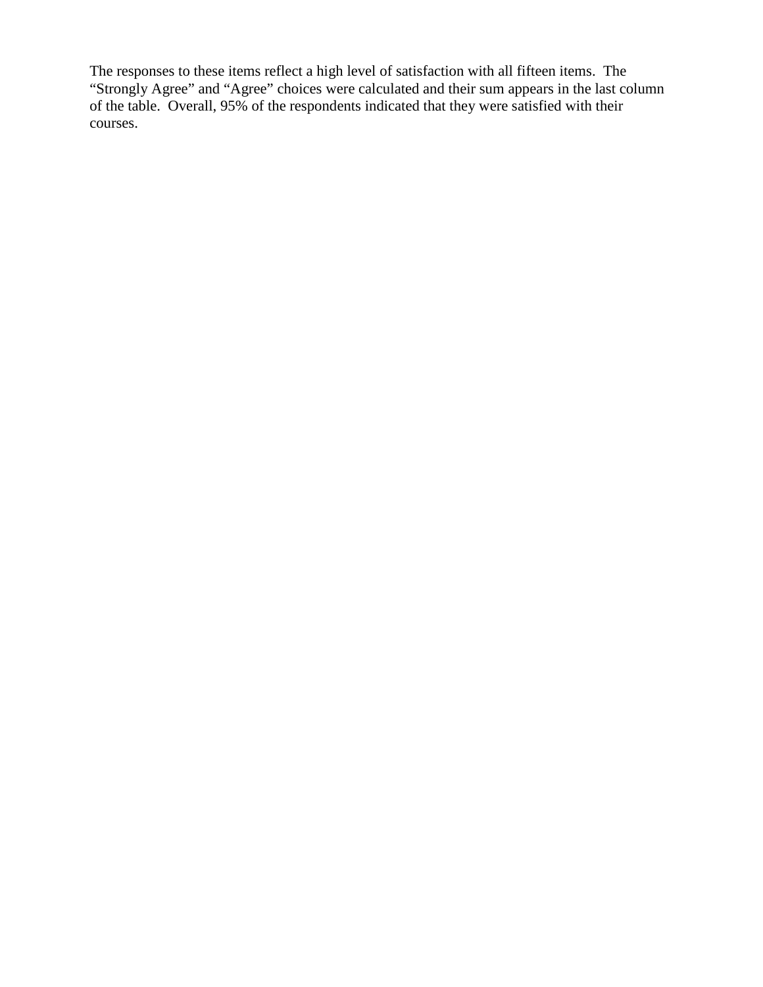The responses to these items reflect a high level of satisfaction with all fifteen items. The "Strongly Agree" and "Agree" choices were calculated and their sum appears in the last column of the table. Overall, 95% of the respondents indicated that they were satisfied with their courses.